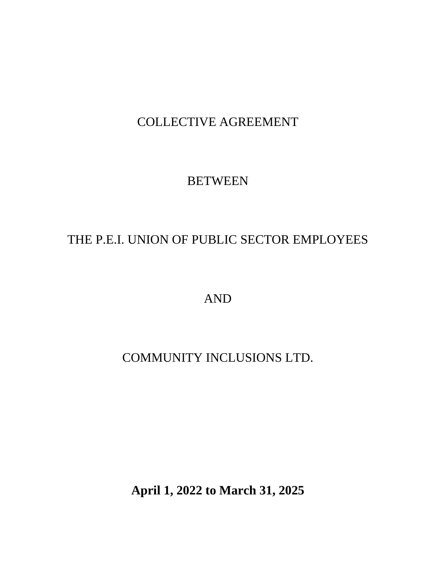# COLLECTIVE AGREEMENT

# **BETWEEN**

# THE P.E.I. UNION OF PUBLIC SECTOR EMPLOYEES

AND

# COMMUNITY INCLUSIONS LTD.

**April 1, 2022 to March 31, 2025**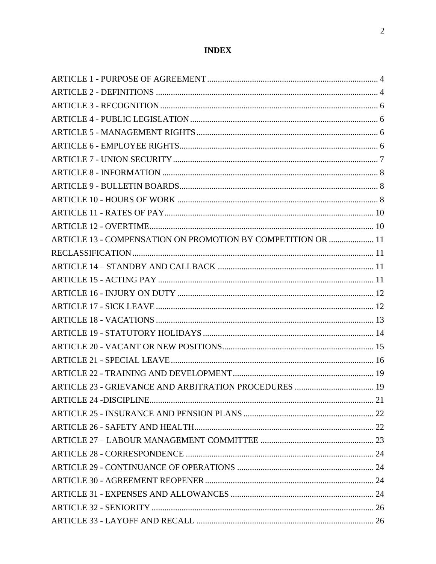# **INDEX**

| ARTICLE 13 - COMPENSATION ON PROMOTION BY COMPETITION OR  11 |  |
|--------------------------------------------------------------|--|
|                                                              |  |
|                                                              |  |
|                                                              |  |
|                                                              |  |
|                                                              |  |
|                                                              |  |
|                                                              |  |
|                                                              |  |
|                                                              |  |
|                                                              |  |
|                                                              |  |
|                                                              |  |
|                                                              |  |
|                                                              |  |
|                                                              |  |
|                                                              |  |
|                                                              |  |
|                                                              |  |
|                                                              |  |
|                                                              |  |
|                                                              |  |
|                                                              |  |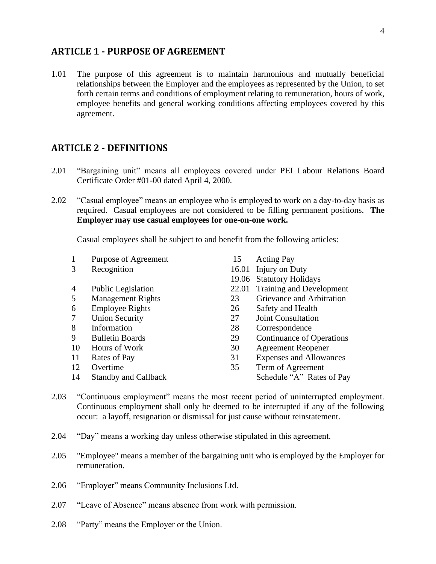#### <span id="page-3-0"></span>**ARTICLE 1 - PURPOSE OF AGREEMENT**

1.01 The purpose of this agreement is to maintain harmonious and mutually beneficial relationships between the Employer and the employees as represented by the Union, to set forth certain terms and conditions of employment relating to remuneration, hours of work, employee benefits and general working conditions affecting employees covered by this agreement.

#### <span id="page-3-1"></span>**ARTICLE 2 - DEFINITIONS**

- 2.01 "Bargaining unit" means all employees covered under PEI Labour Relations Board Certificate Order #01-00 dated April 4, 2000.
- 2.02 "Casual employee" means an employee who is employed to work on a day-to-day basis as required. Casual employees are not considered to be filling permanent positions. **The Employer may use casual employees for one-on-one work.**

Casual employees shall be subject to and benefit from the following articles:

- 1 Purpose of Agreement 15 Acting Pay
- 
- 4 Public Legislation 22.01 Training and Development
- 5 Management Rights 23 Grievance and Arbitration
- 6 Employee Rights 26 Safety and Health
- 7 Union Security 27 Joint Consultation
- 
- 
- 
- 
- 
- 
- 3 Recognition 16.01 Injury on Duty
	- 19.06 Statutory Holidays
	-
	-
	-
	-
	-
- 8 Information 28 Correspondence
- 9 Bulletin Boards 29 Continuance of Operations
- 10 Hours of Work 30 Agreement Reopener
- 11 Rates of Pay 31 Expenses and Allowances
- 12 Overtime 35 Term of Agreement
- 14 Standby and Callback Schedule "A" Rates of Pay
- 2.03 "Continuous employment" means the most recent period of uninterrupted employment. Continuous employment shall only be deemed to be interrupted if any of the following occur: a layoff, resignation or dismissal for just cause without reinstatement.
- 2.04 "Day" means a working day unless otherwise stipulated in this agreement.
- 2.05 "Employee" means a member of the bargaining unit who is employed by the Employer for remuneration.
- 2.06 "Employer" means Community Inclusions Ltd.
- 2.07 "Leave of Absence" means absence from work with permission.
- 2.08 "Party" means the Employer or the Union.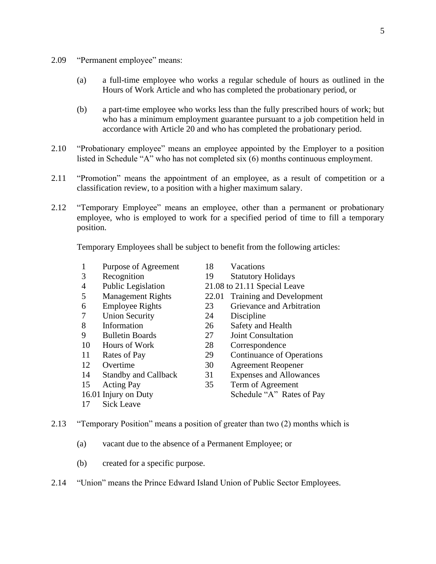- 2.09 "Permanent employee" means:
	- (a) a full-time employee who works a regular schedule of hours as outlined in the Hours of Work Article and who has completed the probationary period, or
	- (b) a part-time employee who works less than the fully prescribed hours of work; but who has a minimum employment guarantee pursuant to a job competition held in accordance with Article 20 and who has completed the probationary period.
- 2.10 "Probationary employee" means an employee appointed by the Employer to a position listed in Schedule "A" who has not completed six (6) months continuous employment.
- 2.11 "Promotion" means the appointment of an employee, as a result of competition or a classification review, to a position with a higher maximum salary.
- 2.12 "Temporary Employee" means an employee, other than a permanent or probationary employee, who is employed to work for a specified period of time to fill a temporary position.

Temporary Employees shall be subject to benefit from the following articles:

- 1 Purpose of Agreement 18 Vacations
- 3 Recognition 19 Statutory Holidays
- 4 Public Legislation 21.08 to 21.11 Special Leave
- 5 Management Rights 22.01 Training and Development
- 
- 7 Union Security 24 Discipline
- 
- 
- 
- 
- 
- 
- 
- 
- 17 Sick Leave
- 
- 
- 6 Employee Rights 23 Grievance and Arbitration
	-
- 8 Information 26 Safety and Health
- 9 Bulletin Boards 27 Joint Consultation
- 10 Hours of Work 28 Correspondence
- 11 Rates of Pay 29 Continuance of Operations
- 12 Overtime 30 Agreement Reopener
- 14 Standby and Callback 31 Expenses and Allowances
- 15 Acting Pay 35 Term of Agreement
- 16.01 Injury on Duty Schedule "A" Rates of Pay
- 2.13 "Temporary Position" means a position of greater than two (2) months which is
	- (a) vacant due to the absence of a Permanent Employee; or
	- (b) created for a specific purpose.
- 2.14 "Union" means the Prince Edward Island Union of Public Sector Employees.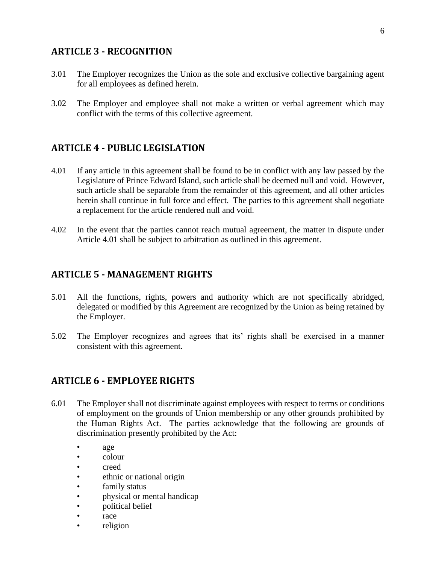### <span id="page-5-0"></span>**ARTICLE 3 - RECOGNITION**

- 3.01 The Employer recognizes the Union as the sole and exclusive collective bargaining agent for all employees as defined herein.
- 3.02 The Employer and employee shall not make a written or verbal agreement which may conflict with the terms of this collective agreement.

### <span id="page-5-1"></span>**ARTICLE 4 - PUBLIC LEGISLATION**

- 4.01 If any article in this agreement shall be found to be in conflict with any law passed by the Legislature of Prince Edward Island, such article shall be deemed null and void. However, such article shall be separable from the remainder of this agreement, and all other articles herein shall continue in full force and effect. The parties to this agreement shall negotiate a replacement for the article rendered null and void.
- 4.02 In the event that the parties cannot reach mutual agreement, the matter in dispute under Article 4.01 shall be subject to arbitration as outlined in this agreement.

### <span id="page-5-2"></span>**ARTICLE 5 - MANAGEMENT RIGHTS**

- 5.01 All the functions, rights, powers and authority which are not specifically abridged, delegated or modified by this Agreement are recognized by the Union as being retained by the Employer.
- 5.02 The Employer recognizes and agrees that its' rights shall be exercised in a manner consistent with this agreement.

### <span id="page-5-3"></span>**ARTICLE 6 - EMPLOYEE RIGHTS**

- 6.01 The Employer shall not discriminate against employees with respect to terms or conditions of employment on the grounds of Union membership or any other grounds prohibited by the Human Rights Act. The parties acknowledge that the following are grounds of discrimination presently prohibited by the Act:
	- age
	- colour
	- creed
	- ethnic or national origin
	- family status
	- physical or mental handicap
	- political belief
	- race
	- religion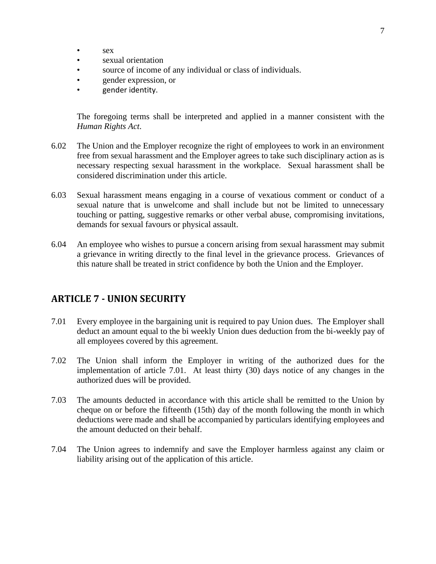- sex
- sexual orientation
- source of income of any individual or class of individuals.
- gender expression, or
- gender identity.

The foregoing terms shall be interpreted and applied in a manner consistent with the *Human Rights Act*.

- 6.02 The Union and the Employer recognize the right of employees to work in an environment free from sexual harassment and the Employer agrees to take such disciplinary action as is necessary respecting sexual harassment in the workplace. Sexual harassment shall be considered discrimination under this article.
- 6.03 Sexual harassment means engaging in a course of vexatious comment or conduct of a sexual nature that is unwelcome and shall include but not be limited to unnecessary touching or patting, suggestive remarks or other verbal abuse, compromising invitations, demands for sexual favours or physical assault.
- 6.04 An employee who wishes to pursue a concern arising from sexual harassment may submit a grievance in writing directly to the final level in the grievance process. Grievances of this nature shall be treated in strict confidence by both the Union and the Employer.

### <span id="page-6-0"></span>**ARTICLE 7 - UNION SECURITY**

- 7.01 Every employee in the bargaining unit is required to pay Union dues. The Employer shall deduct an amount equal to the bi weekly Union dues deduction from the bi-weekly pay of all employees covered by this agreement.
- 7.02 The Union shall inform the Employer in writing of the authorized dues for the implementation of article 7.01. At least thirty (30) days notice of any changes in the authorized dues will be provided.
- 7.03 The amounts deducted in accordance with this article shall be remitted to the Union by cheque on or before the fifteenth (15th) day of the month following the month in which deductions were made and shall be accompanied by particulars identifying employees and the amount deducted on their behalf.
- 7.04 The Union agrees to indemnify and save the Employer harmless against any claim or liability arising out of the application of this article.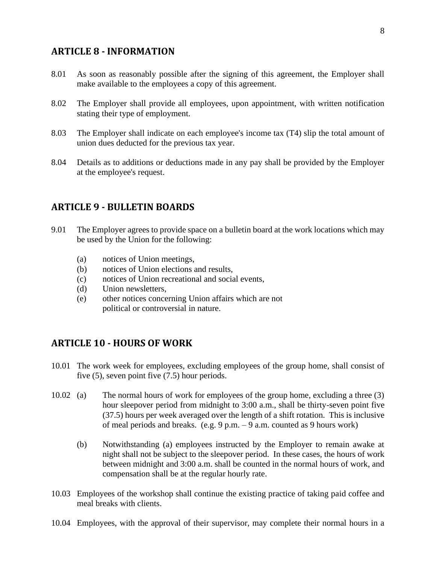### <span id="page-7-0"></span>**ARTICLE 8 - INFORMATION**

- 8.01 As soon as reasonably possible after the signing of this agreement, the Employer shall make available to the employees a copy of this agreement.
- 8.02 The Employer shall provide all employees, upon appointment, with written notification stating their type of employment.
- 8.03 The Employer shall indicate on each employee's income tax (T4) slip the total amount of union dues deducted for the previous tax year.
- 8.04 Details as to additions or deductions made in any pay shall be provided by the Employer at the employee's request.

#### <span id="page-7-1"></span>**ARTICLE 9 - BULLETIN BOARDS**

- 9.01 The Employer agrees to provide space on a bulletin board at the work locations which may be used by the Union for the following:
	- (a) notices of Union meetings,
	- (b) notices of Union elections and results,
	- (c) notices of Union recreational and social events,
	- (d) Union newsletters,
	- (e) other notices concerning Union affairs which are not political or controversial in nature.

# <span id="page-7-2"></span>**ARTICLE 10 - HOURS OF WORK**

- 10.01 The work week for employees, excluding employees of the group home, shall consist of five (5), seven point five (7.5) hour periods.
- 10.02 (a) The normal hours of work for employees of the group home, excluding a three (3) hour sleepover period from midnight to 3:00 a.m., shall be thirty-seven point five (37.5) hours per week averaged over the length of a shift rotation. This is inclusive of meal periods and breaks. (e.g. 9 p.m. – 9 a.m. counted as 9 hours work)
	- (b) Notwithstanding (a) employees instructed by the Employer to remain awake at night shall not be subject to the sleepover period. In these cases, the hours of work between midnight and 3:00 a.m. shall be counted in the normal hours of work, and compensation shall be at the regular hourly rate.
- 10.03 Employees of the workshop shall continue the existing practice of taking paid coffee and meal breaks with clients.
- 10.04 Employees, with the approval of their supervisor, may complete their normal hours in a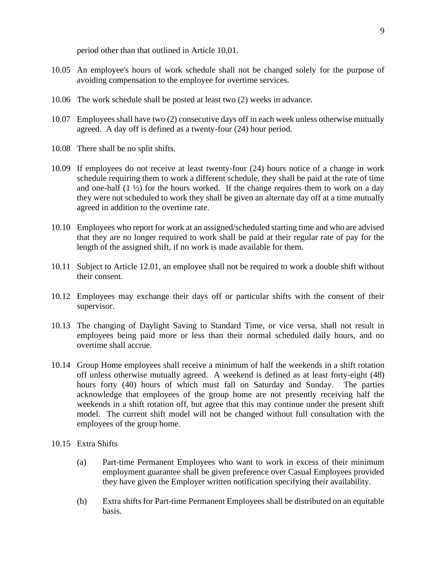period other than that outlined in Article 10.01.

- 10.05 An employee's hours of work schedule shall not be changed solely for the purpose of avoiding compensation to the employee for overtime services.
- 10.06 The work schedule shall be posted at least two (2) weeks in advance.
- 10.07 Employees shall have two (2) consecutive days off in each week unless otherwise mutually agreed. A day off is defined as a twenty-four (24) hour period.
- 10.08 There shall be no split shifts.
- 10.09 If employees do not receive at least twenty-four (24) hours notice of a change in work schedule requiring them to work a different schedule, they shall be paid at the rate of time and one-half  $(1 \frac{1}{2})$  for the hours worked. If the change requires them to work on a day they were not scheduled to work they shall be given an alternate day off at a time mutually agreed in addition to the overtime rate.
- 10.10 Employees who report for work at an assigned/scheduled starting time and who are advised that they are no longer required to work shall be paid at their regular rate of pay for the length of the assigned shift, if no work is made available for them.
- 10.11 Subject to Article 12.01, an employee shall not be required to work a double shift without their consent.
- 10.12 Employees may exchange their days off or particular shifts with the consent of their supervisor.
- 10.13 The changing of Daylight Saving to Standard Time, or vice versa, shall not result in employees being paid more or less than their normal scheduled daily hours, and no overtime shall accrue.
- 10.14 Group Home employees shall receive a minimum of half the weekends in a shift rotation off unless otherwise mutually agreed. A weekend is defined as at least forty-eight (48) hours forty (40) hours of which must fall on Saturday and Sunday. The parties acknowledge that employees of the group home are not presently receiving half the weekends in a shift rotation off, but agree that this may continue under the present shift model. The current shift model will not be changed without full consultation with the employees of the group home.
- 10.15 Extra Shifts
	- (a) Part-time Permanent Employees who want to work in excess of their minimum employment guarantee shall be given preference over Casual Employees provided they have given the Employer written notification specifying their availability.
	- (b) Extra shifts for Part-time Permanent Employees shall be distributed on an equitable basis.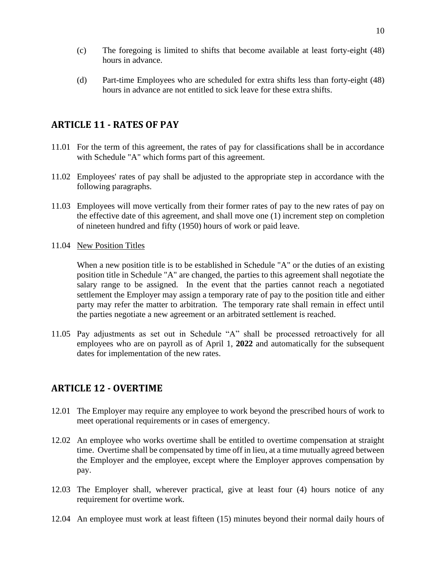- (c) The foregoing is limited to shifts that become available at least forty-eight (48) hours in advance.
- (d) Part-time Employees who are scheduled for extra shifts less than forty-eight (48) hours in advance are not entitled to sick leave for these extra shifts.

# <span id="page-9-0"></span>**ARTICLE 11 - RATES OF PAY**

- 11.01 For the term of this agreement, the rates of pay for classifications shall be in accordance with Schedule "A" which forms part of this agreement.
- 11.02 Employees' rates of pay shall be adjusted to the appropriate step in accordance with the following paragraphs.
- 11.03 Employees will move vertically from their former rates of pay to the new rates of pay on the effective date of this agreement, and shall move one (1) increment step on completion of nineteen hundred and fifty (1950) hours of work or paid leave.
- 11.04 New Position Titles

When a new position title is to be established in Schedule "A" or the duties of an existing position title in Schedule "A" are changed, the parties to this agreement shall negotiate the salary range to be assigned. In the event that the parties cannot reach a negotiated settlement the Employer may assign a temporary rate of pay to the position title and either party may refer the matter to arbitration. The temporary rate shall remain in effect until the parties negotiate a new agreement or an arbitrated settlement is reached.

11.05 Pay adjustments as set out in Schedule "A" shall be processed retroactively for all employees who are on payroll as of April 1, **2022** and automatically for the subsequent dates for implementation of the new rates.

# <span id="page-9-1"></span>**ARTICLE 12 - OVERTIME**

- 12.01 The Employer may require any employee to work beyond the prescribed hours of work to meet operational requirements or in cases of emergency.
- 12.02 An employee who works overtime shall be entitled to overtime compensation at straight time. Overtime shall be compensated by time off in lieu, at a time mutually agreed between the Employer and the employee, except where the Employer approves compensation by pay.
- 12.03 The Employer shall, wherever practical, give at least four (4) hours notice of any requirement for overtime work.
- 12.04 An employee must work at least fifteen (15) minutes beyond their normal daily hours of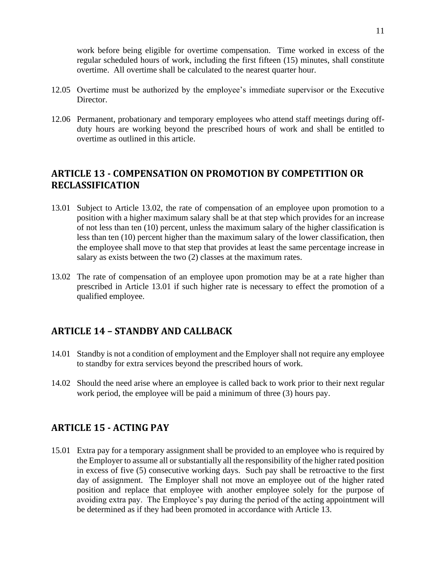work before being eligible for overtime compensation. Time worked in excess of the regular scheduled hours of work, including the first fifteen (15) minutes, shall constitute overtime. All overtime shall be calculated to the nearest quarter hour.

- 12.05 Overtime must be authorized by the employee's immediate supervisor or the Executive Director.
- 12.06 Permanent, probationary and temporary employees who attend staff meetings during offduty hours are working beyond the prescribed hours of work and shall be entitled to overtime as outlined in this article.

# <span id="page-10-1"></span><span id="page-10-0"></span>**ARTICLE 13 - COMPENSATION ON PROMOTION BY COMPETITION OR RECLASSIFICATION**

- 13.01 Subject to Article 13.02, the rate of compensation of an employee upon promotion to a position with a higher maximum salary shall be at that step which provides for an increase of not less than ten (10) percent, unless the maximum salary of the higher classification is less than ten (10) percent higher than the maximum salary of the lower classification, then the employee shall move to that step that provides at least the same percentage increase in salary as exists between the two (2) classes at the maximum rates.
- 13.02 The rate of compensation of an employee upon promotion may be at a rate higher than prescribed in Article 13.01 if such higher rate is necessary to effect the promotion of a qualified employee.

# <span id="page-10-2"></span>**ARTICLE 14 – STANDBY AND CALLBACK**

- 14.01 Standby is not a condition of employment and the Employer shall not require any employee to standby for extra services beyond the prescribed hours of work.
- 14.02 Should the need arise where an employee is called back to work prior to their next regular work period, the employee will be paid a minimum of three (3) hours pay.

# <span id="page-10-3"></span>**ARTICLE 15 - ACTING PAY**

15.01 Extra pay for a temporary assignment shall be provided to an employee who is required by the Employer to assume all or substantially all the responsibility of the higher rated position in excess of five (5) consecutive working days. Such pay shall be retroactive to the first day of assignment. The Employer shall not move an employee out of the higher rated position and replace that employee with another employee solely for the purpose of avoiding extra pay. The Employee's pay during the period of the acting appointment will be determined as if they had been promoted in accordance with Article 13.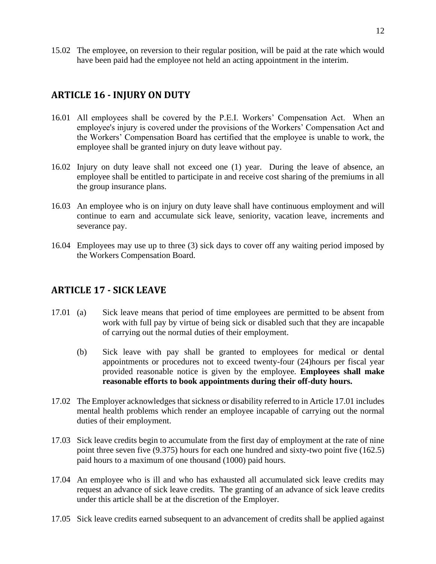15.02 The employee, on reversion to their regular position, will be paid at the rate which would have been paid had the employee not held an acting appointment in the interim.

# <span id="page-11-0"></span>**ARTICLE 16 - INJURY ON DUTY**

- 16.01 All employees shall be covered by the P.E.I. Workers' Compensation Act. When an employee's injury is covered under the provisions of the Workers' Compensation Act and the Workers' Compensation Board has certified that the employee is unable to work, the employee shall be granted injury on duty leave without pay.
- 16.02 Injury on duty leave shall not exceed one (1) year. During the leave of absence, an employee shall be entitled to participate in and receive cost sharing of the premiums in all the group insurance plans.
- 16.03 An employee who is on injury on duty leave shall have continuous employment and will continue to earn and accumulate sick leave, seniority, vacation leave, increments and severance pay.
- 16.04 Employees may use up to three (3) sick days to cover off any waiting period imposed by the Workers Compensation Board.

# <span id="page-11-1"></span>**ARTICLE 17 - SICK LEAVE**

- 17.01 (a) Sick leave means that period of time employees are permitted to be absent from work with full pay by virtue of being sick or disabled such that they are incapable of carrying out the normal duties of their employment.
	- (b) Sick leave with pay shall be granted to employees for medical or dental appointments or procedures not to exceed twenty-four (24)hours per fiscal year provided reasonable notice is given by the employee. **Employees shall make reasonable efforts to book appointments during their off-duty hours.**
- 17.02 The Employer acknowledges that sickness or disability referred to in Article 17.01 includes mental health problems which render an employee incapable of carrying out the normal duties of their employment.
- 17.03 Sick leave credits begin to accumulate from the first day of employment at the rate of nine point three seven five (9.375) hours for each one hundred and sixty-two point five (162.5) paid hours to a maximum of one thousand (1000) paid hours.
- 17.04 An employee who is ill and who has exhausted all accumulated sick leave credits may request an advance of sick leave credits. The granting of an advance of sick leave credits under this article shall be at the discretion of the Employer.
- 17.05 Sick leave credits earned subsequent to an advancement of credits shall be applied against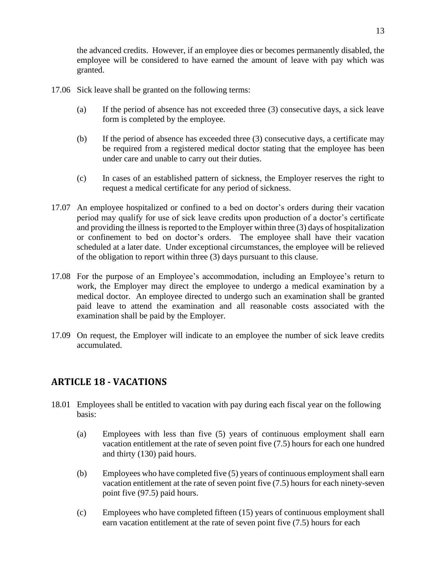the advanced credits. However, if an employee dies or becomes permanently disabled, the employee will be considered to have earned the amount of leave with pay which was granted.

- 17.06 Sick leave shall be granted on the following terms:
	- (a) If the period of absence has not exceeded three (3) consecutive days, a sick leave form is completed by the employee.
	- (b) If the period of absence has exceeded three (3) consecutive days, a certificate may be required from a registered medical doctor stating that the employee has been under care and unable to carry out their duties.
	- (c) In cases of an established pattern of sickness, the Employer reserves the right to request a medical certificate for any period of sickness.
- 17.07 An employee hospitalized or confined to a bed on doctor's orders during their vacation period may qualify for use of sick leave credits upon production of a doctor's certificate and providing the illness is reported to the Employer within three (3) days of hospitalization or confinement to bed on doctor's orders. The employee shall have their vacation scheduled at a later date. Under exceptional circumstances, the employee will be relieved of the obligation to report within three (3) days pursuant to this clause.
- 17.08 For the purpose of an Employee's accommodation, including an Employee's return to work, the Employer may direct the employee to undergo a medical examination by a medical doctor. An employee directed to undergo such an examination shall be granted paid leave to attend the examination and all reasonable costs associated with the examination shall be paid by the Employer.
- 17.09 On request, the Employer will indicate to an employee the number of sick leave credits accumulated.

# <span id="page-12-0"></span>**ARTICLE 18 - VACATIONS**

- 18.01 Employees shall be entitled to vacation with pay during each fiscal year on the following basis:
	- (a) Employees with less than five (5) years of continuous employment shall earn vacation entitlement at the rate of seven point five (7.5) hours for each one hundred and thirty (130) paid hours.
	- (b) Employees who have completed five (5) years of continuous employment shall earn vacation entitlement at the rate of seven point five (7.5) hours for each ninety-seven point five (97.5) paid hours.
	- (c) Employees who have completed fifteen (15) years of continuous employment shall earn vacation entitlement at the rate of seven point five (7.5) hours for each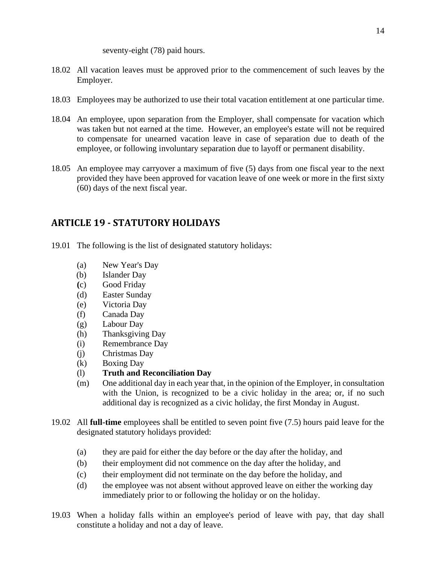seventy-eight (78) paid hours.

- 18.02 All vacation leaves must be approved prior to the commencement of such leaves by the Employer.
- 18.03 Employees may be authorized to use their total vacation entitlement at one particular time.
- 18.04 An employee, upon separation from the Employer, shall compensate for vacation which was taken but not earned at the time. However, an employee's estate will not be required to compensate for unearned vacation leave in case of separation due to death of the employee, or following involuntary separation due to layoff or permanent disability.
- 18.05 An employee may carryover a maximum of five (5) days from one fiscal year to the next provided they have been approved for vacation leave of one week or more in the first sixty (60) days of the next fiscal year.

# <span id="page-13-0"></span>**ARTICLE 19 - STATUTORY HOLIDAYS**

- 19.01 The following is the list of designated statutory holidays:
	- (a) New Year's Day
	- (b) Islander Day
	- **(**c) Good Friday
	- (d) Easter Sunday
	- (e) Victoria Day
	- (f) Canada Day
	- (g) Labour Day
	- (h) Thanksgiving Day
	- (i) Remembrance Day
	- (j) Christmas Day
	- (k) Boxing Day
	- (l) **Truth and Reconciliation Day**
	- (m) One additional day in each year that, in the opinion of the Employer, in consultation with the Union, is recognized to be a civic holiday in the area; or, if no such additional day is recognized as a civic holiday, the first Monday in August.
- 19.02 All **full-time** employees shall be entitled to seven point five (7.5) hours paid leave for the designated statutory holidays provided:
	- (a) they are paid for either the day before or the day after the holiday, and
	- (b) their employment did not commence on the day after the holiday, and
	- (c) their employment did not terminate on the day before the holiday, and
	- (d) the employee was not absent without approved leave on either the working day immediately prior to or following the holiday or on the holiday.
- 19.03 When a holiday falls within an employee's period of leave with pay, that day shall constitute a holiday and not a day of leave.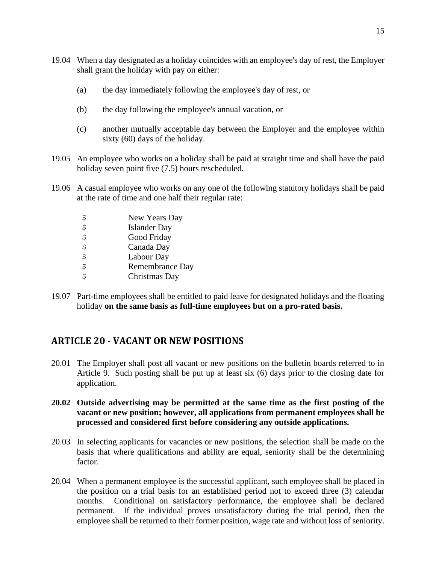- 19.04 When a day designated as a holiday coincides with an employee's day of rest, the Employer shall grant the holiday with pay on either:
	- (a) the day immediately following the employee's day of rest, or
	- (b) the day following the employee's annual vacation, or
	- (c) another mutually acceptable day between the Employer and the employee within sixty (60) days of the holiday.
- 19.05 An employee who works on a holiday shall be paid at straight time and shall have the paid holiday seven point five (7.5) hours rescheduled.
- 19.06 A casual employee who works on any one of the following statutory holidays shall be paid at the rate of time and one half their regular rate:
	- \$ New Years Day \$ Islander Day<br>\$ Good Friday Good Friday \$ Canada Day \$ Labour Day \$ Remembrance Day \$ Christmas Day
- 19.07 Part-time employees shall be entitled to paid leave for designated holidays and the floating holiday **on the same basis as full-time employees but on a pro-rated basis.**

# <span id="page-14-0"></span>**ARTICLE 20 - VACANT OR NEW POSITIONS**

- 20.01 The Employer shall post all vacant or new positions on the bulletin boards referred to in Article 9. Such posting shall be put up at least six (6) days prior to the closing date for application.
- **20.02 Outside advertising may be permitted at the same time as the first posting of the vacant or new position; however, all applications from permanent employees shall be processed and considered first before considering any outside applications.**
- 20.03 In selecting applicants for vacancies or new positions, the selection shall be made on the basis that where qualifications and ability are equal, seniority shall be the determining factor.
- 20.04 When a permanent employee is the successful applicant, such employee shall be placed in the position on a trial basis for an established period not to exceed three (3) calendar months. Conditional on satisfactory performance, the employee shall be declared permanent. If the individual proves unsatisfactory during the trial period, then the employee shall be returned to their former position, wage rate and without loss of seniority.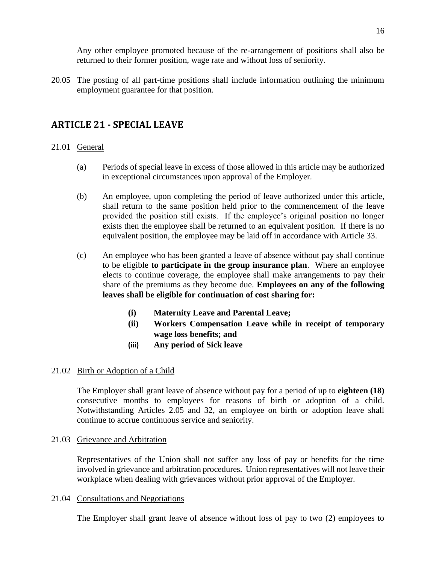Any other employee promoted because of the re-arrangement of positions shall also be returned to their former position, wage rate and without loss of seniority.

20.05 The posting of all part-time positions shall include information outlining the minimum employment guarantee for that position.

# <span id="page-15-0"></span>**ARTICLE 21 - SPECIAL LEAVE**

#### 21.01 General

- (a) Periods of special leave in excess of those allowed in this article may be authorized in exceptional circumstances upon approval of the Employer.
- (b) An employee, upon completing the period of leave authorized under this article, shall return to the same position held prior to the commencement of the leave provided the position still exists. If the employee's original position no longer exists then the employee shall be returned to an equivalent position. If there is no equivalent position, the employee may be laid off in accordance with Article 33.
- (c) An employee who has been granted a leave of absence without pay shall continue to be eligible **to participate in the group insurance plan**. Where an employee elects to continue coverage, the employee shall make arrangements to pay their share of the premiums as they become due. **Employees on any of the following leaves shall be eligible for continuation of cost sharing for:**
	- **(i) Maternity Leave and Parental Leave;**
	- **(ii) Workers Compensation Leave while in receipt of temporary wage loss benefits; and**
	- **(iii) Any period of Sick leave**

#### 21.02 Birth or Adoption of a Child

The Employer shall grant leave of absence without pay for a period of up to **eighteen (18)** consecutive months to employees for reasons of birth or adoption of a child. Notwithstanding Articles 2.05 and 32, an employee on birth or adoption leave shall continue to accrue continuous service and seniority.

#### 21.03 Grievance and Arbitration

Representatives of the Union shall not suffer any loss of pay or benefits for the time involved in grievance and arbitration procedures. Union representatives will not leave their workplace when dealing with grievances without prior approval of the Employer.

#### 21.04 Consultations and Negotiations

The Employer shall grant leave of absence without loss of pay to two (2) employees to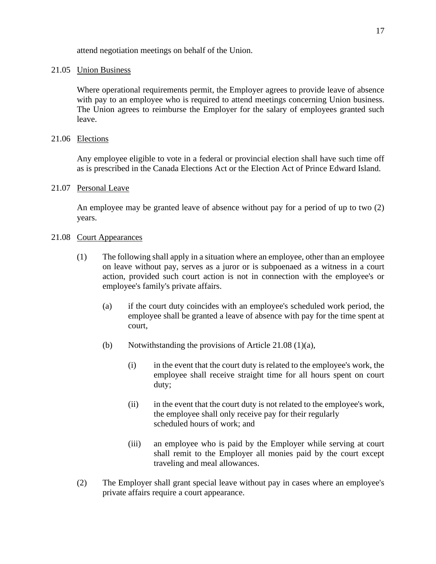attend negotiation meetings on behalf of the Union.

#### 21.05 Union Business

Where operational requirements permit, the Employer agrees to provide leave of absence with pay to an employee who is required to attend meetings concerning Union business. The Union agrees to reimburse the Employer for the salary of employees granted such leave.

#### 21.06 Elections

Any employee eligible to vote in a federal or provincial election shall have such time off as is prescribed in the Canada Elections Act or the Election Act of Prince Edward Island.

#### 21.07 Personal Leave

An employee may be granted leave of absence without pay for a period of up to two (2) years.

#### 21.08 Court Appearances

- (1) The following shall apply in a situation where an employee, other than an employee on leave without pay, serves as a juror or is subpoenaed as a witness in a court action, provided such court action is not in connection with the employee's or employee's family's private affairs.
	- (a) if the court duty coincides with an employee's scheduled work period, the employee shall be granted a leave of absence with pay for the time spent at court,
	- (b) Notwithstanding the provisions of Article 21.08 (1)(a),
		- (i) in the event that the court duty is related to the employee's work, the employee shall receive straight time for all hours spent on court duty;
		- (ii) in the event that the court duty is not related to the employee's work, the employee shall only receive pay for their regularly scheduled hours of work; and
		- (iii) an employee who is paid by the Employer while serving at court shall remit to the Employer all monies paid by the court except traveling and meal allowances.
- (2) The Employer shall grant special leave without pay in cases where an employee's private affairs require a court appearance.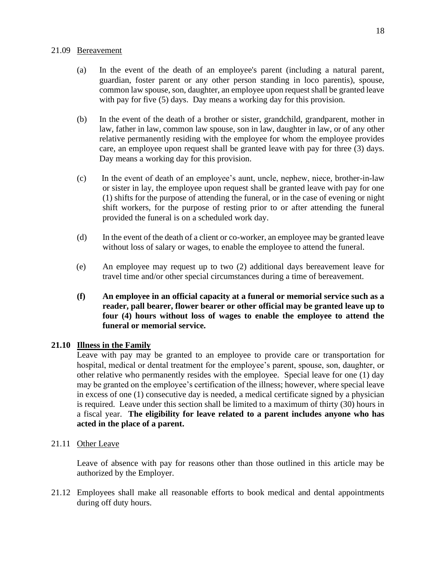#### 21.09 Bereavement

- (a) In the event of the death of an employee's parent (including a natural parent, guardian, foster parent or any other person standing in loco parentis), spouse, common law spouse, son, daughter, an employee upon request shall be granted leave with pay for five (5) days. Day means a working day for this provision.
- (b) In the event of the death of a brother or sister, grandchild, grandparent, mother in law, father in law, common law spouse, son in law, daughter in law, or of any other relative permanently residing with the employee for whom the employee provides care, an employee upon request shall be granted leave with pay for three (3) days. Day means a working day for this provision.
- (c) In the event of death of an employee's aunt, uncle, nephew, niece, brother-in-law or sister in lay, the employee upon request shall be granted leave with pay for one (1) shifts for the purpose of attending the funeral, or in the case of evening or night shift workers, for the purpose of resting prior to or after attending the funeral provided the funeral is on a scheduled work day.
- (d) In the event of the death of a client or co-worker, an employee may be granted leave without loss of salary or wages, to enable the employee to attend the funeral.
- (e) An employee may request up to two (2) additional days bereavement leave for travel time and/or other special circumstances during a time of bereavement.
- **(f) An employee in an official capacity at a funeral or memorial service such as a reader, pall bearer, flower bearer or other official may be granted leave up to four (4) hours without loss of wages to enable the employee to attend the funeral or memorial service.**

#### **21.10 Illness in the Family**

Leave with pay may be granted to an employee to provide care or transportation for hospital, medical or dental treatment for the employee's parent, spouse, son, daughter, or other relative who permanently resides with the employee. Special leave for one (1) day may be granted on the employee's certification of the illness; however, where special leave in excess of one (1) consecutive day is needed, a medical certificate signed by a physician is required. Leave under this section shall be limited to a maximum of thirty (30) hours in a fiscal year. **The eligibility for leave related to a parent includes anyone who has acted in the place of a parent.**

#### 21.11 Other Leave

Leave of absence with pay for reasons other than those outlined in this article may be authorized by the Employer.

21.12 Employees shall make all reasonable efforts to book medical and dental appointments during off duty hours.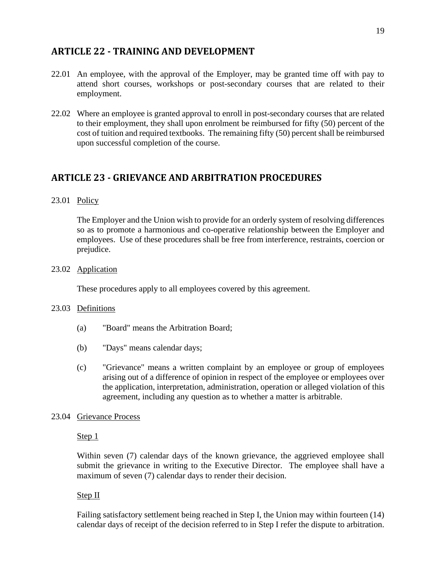# <span id="page-18-0"></span>**ARTICLE 22 - TRAINING AND DEVELOPMENT**

- 22.01 An employee, with the approval of the Employer, may be granted time off with pay to attend short courses, workshops or post-secondary courses that are related to their employment.
- 22.02 Where an employee is granted approval to enroll in post-secondary courses that are related to their employment, they shall upon enrolment be reimbursed for fifty (50) percent of the cost of tuition and required textbooks. The remaining fifty (50) percent shall be reimbursed upon successful completion of the course.

# <span id="page-18-1"></span>**ARTICLE 23 - GRIEVANCE AND ARBITRATION PROCEDURES**

#### 23.01 Policy

The Employer and the Union wish to provide for an orderly system of resolving differences so as to promote a harmonious and co-operative relationship between the Employer and employees. Use of these procedures shall be free from interference, restraints, coercion or prejudice.

#### 23.02 Application

These procedures apply to all employees covered by this agreement.

#### 23.03 Definitions

- (a) "Board" means the Arbitration Board;
- (b) "Days" means calendar days;
- (c) "Grievance" means a written complaint by an employee or group of employees arising out of a difference of opinion in respect of the employee or employees over the application, interpretation, administration, operation or alleged violation of this agreement, including any question as to whether a matter is arbitrable.

#### 23.04 Grievance Process

#### Step 1

Within seven (7) calendar days of the known grievance, the aggrieved employee shall submit the grievance in writing to the Executive Director. The employee shall have a maximum of seven (7) calendar days to render their decision.

#### Step II

Failing satisfactory settlement being reached in Step I, the Union may within fourteen (14) calendar days of receipt of the decision referred to in Step I refer the dispute to arbitration.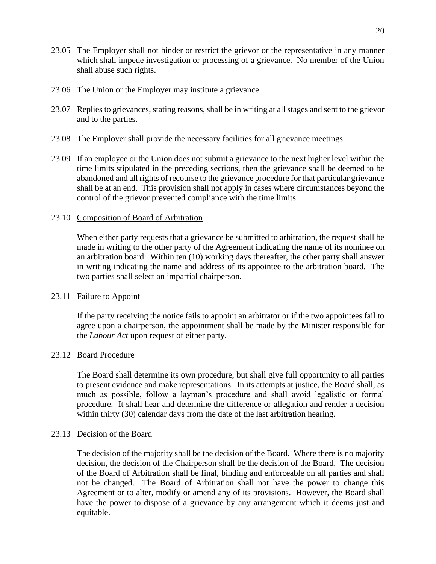- 23.05 The Employer shall not hinder or restrict the grievor or the representative in any manner which shall impede investigation or processing of a grievance. No member of the Union shall abuse such rights.
- 23.06 The Union or the Employer may institute a grievance.
- 23.07 Replies to grievances, stating reasons, shall be in writing at all stages and sent to the grievor and to the parties.
- 23.08 The Employer shall provide the necessary facilities for all grievance meetings.
- 23.09 If an employee or the Union does not submit a grievance to the next higher level within the time limits stipulated in the preceding sections, then the grievance shall be deemed to be abandoned and all rights of recourse to the grievance procedure for that particular grievance shall be at an end. This provision shall not apply in cases where circumstances beyond the control of the grievor prevented compliance with the time limits.

#### 23.10 Composition of Board of Arbitration

When either party requests that a grievance be submitted to arbitration, the request shall be made in writing to the other party of the Agreement indicating the name of its nominee on an arbitration board. Within ten (10) working days thereafter, the other party shall answer in writing indicating the name and address of its appointee to the arbitration board. The two parties shall select an impartial chairperson.

#### 23.11 Failure to Appoint

If the party receiving the notice fails to appoint an arbitrator or if the two appointees fail to agree upon a chairperson, the appointment shall be made by the Minister responsible for the *Labour Act* upon request of either party.

#### 23.12 Board Procedure

The Board shall determine its own procedure, but shall give full opportunity to all parties to present evidence and make representations. In its attempts at justice, the Board shall, as much as possible, follow a layman's procedure and shall avoid legalistic or formal procedure. It shall hear and determine the difference or allegation and render a decision within thirty (30) calendar days from the date of the last arbitration hearing.

#### 23.13 Decision of the Board

The decision of the majority shall be the decision of the Board. Where there is no majority decision, the decision of the Chairperson shall be the decision of the Board. The decision of the Board of Arbitration shall be final, binding and enforceable on all parties and shall not be changed. The Board of Arbitration shall not have the power to change this Agreement or to alter, modify or amend any of its provisions. However, the Board shall have the power to dispose of a grievance by any arrangement which it deems just and equitable.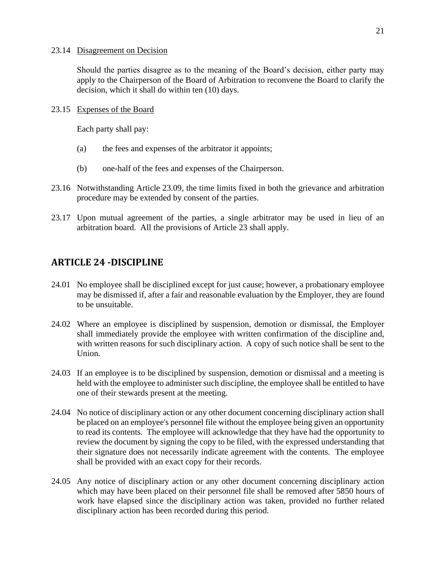#### 23.14 Disagreement on Decision

Should the parties disagree as to the meaning of the Board's decision, either party may apply to the Chairperson of the Board of Arbitration to reconvene the Board to clarify the decision, which it shall do within ten (10) days.

#### 23.15 Expenses of the Board

Each party shall pay:

- (a) the fees and expenses of the arbitrator it appoints;
- (b) one-half of the fees and expenses of the Chairperson.
- 23.16 Notwithstanding Article 23.09, the time limits fixed in both the grievance and arbitration procedure may be extended by consent of the parties.
- 23.17 Upon mutual agreement of the parties, a single arbitrator may be used in lieu of an arbitration board. All the provisions of Article 23 shall apply.

# <span id="page-20-0"></span>**ARTICLE 24 -DISCIPLINE**

- 24.01 No employee shall be disciplined except for just cause; however, a probationary employee may be dismissed if, after a fair and reasonable evaluation by the Employer, they are found to be unsuitable.
- 24.02 Where an employee is disciplined by suspension, demotion or dismissal, the Employer shall immediately provide the employee with written confirmation of the discipline and, with written reasons for such disciplinary action. A copy of such notice shall be sent to the Union.
- 24.03 If an employee is to be disciplined by suspension, demotion or dismissal and a meeting is held with the employee to administer such discipline, the employee shall be entitled to have one of their stewards present at the meeting.
- 24.04 No notice of disciplinary action or any other document concerning disciplinary action shall be placed on an employee's personnel file without the employee being given an opportunity to read its contents. The employee will acknowledge that they have had the opportunity to review the document by signing the copy to be filed, with the expressed understanding that their signature does not necessarily indicate agreement with the contents. The employee shall be provided with an exact copy for their records.
- 24.05 Any notice of disciplinary action or any other document concerning disciplinary action which may have been placed on their personnel file shall be removed after 5850 hours of work have elapsed since the disciplinary action was taken, provided no further related disciplinary action has been recorded during this period.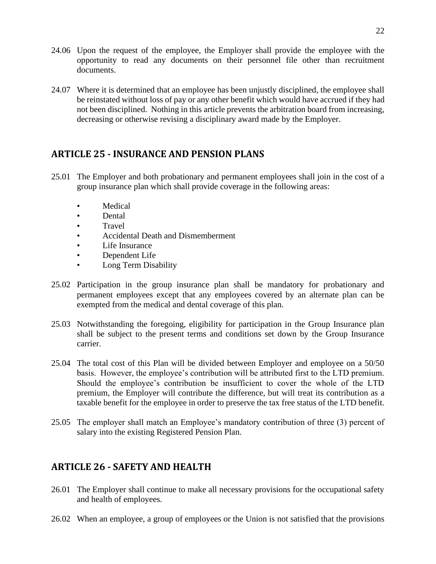- 24.06 Upon the request of the employee, the Employer shall provide the employee with the opportunity to read any documents on their personnel file other than recruitment documents.
- 24.07 Where it is determined that an employee has been unjustly disciplined, the employee shall be reinstated without loss of pay or any other benefit which would have accrued if they had not been disciplined. Nothing in this article prevents the arbitration board from increasing, decreasing or otherwise revising a disciplinary award made by the Employer.

# <span id="page-21-0"></span>**ARTICLE 25 - INSURANCE AND PENSION PLANS**

- 25.01 The Employer and both probationary and permanent employees shall join in the cost of a group insurance plan which shall provide coverage in the following areas:
	- **Medical**
	- Dental
	- Travel
	- Accidental Death and Dismemberment
	- Life Insurance
	- Dependent Life
	- Long Term Disability
- 25.02 Participation in the group insurance plan shall be mandatory for probationary and permanent employees except that any employees covered by an alternate plan can be exempted from the medical and dental coverage of this plan.
- 25.03 Notwithstanding the foregoing, eligibility for participation in the Group Insurance plan shall be subject to the present terms and conditions set down by the Group Insurance carrier.
- 25.04 The total cost of this Plan will be divided between Employer and employee on a 50/50 basis. However, the employee's contribution will be attributed first to the LTD premium. Should the employee's contribution be insufficient to cover the whole of the LTD premium, the Employer will contribute the difference, but will treat its contribution as a taxable benefit for the employee in order to preserve the tax free status of the LTD benefit.
- 25.05 The employer shall match an Employee's mandatory contribution of three (3) percent of salary into the existing Registered Pension Plan.

# <span id="page-21-1"></span>**ARTICLE 26 - SAFETY AND HEALTH**

- 26.01 The Employer shall continue to make all necessary provisions for the occupational safety and health of employees.
- 26.02 When an employee, a group of employees or the Union is not satisfied that the provisions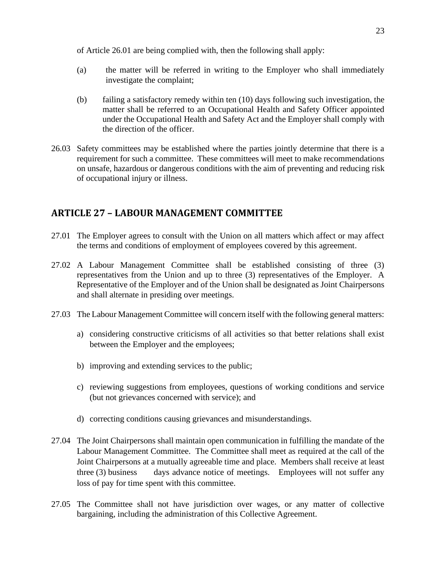of Article 26.01 are being complied with, then the following shall apply:

- (a) the matter will be referred in writing to the Employer who shall immediately investigate the complaint;
- (b) failing a satisfactory remedy within ten (10) days following such investigation, the matter shall be referred to an Occupational Health and Safety Officer appointed under the Occupational Health and Safety Act and the Employer shall comply with the direction of the officer.
- 26.03 Safety committees may be established where the parties jointly determine that there is a requirement for such a committee. These committees will meet to make recommendations on unsafe, hazardous or dangerous conditions with the aim of preventing and reducing risk of occupational injury or illness.

# <span id="page-22-0"></span>**ARTICLE 27 – LABOUR MANAGEMENT COMMITTEE**

- 27.01 The Employer agrees to consult with the Union on all matters which affect or may affect the terms and conditions of employment of employees covered by this agreement.
- 27.02 A Labour Management Committee shall be established consisting of three (3) representatives from the Union and up to three (3) representatives of the Employer. A Representative of the Employer and of the Union shall be designated as Joint Chairpersons and shall alternate in presiding over meetings.
- 27.03 The Labour Management Committee will concern itself with the following general matters:
	- a) considering constructive criticisms of all activities so that better relations shall exist between the Employer and the employees;
	- b) improving and extending services to the public;
	- c) reviewing suggestions from employees, questions of working conditions and service (but not grievances concerned with service); and
	- d) correcting conditions causing grievances and misunderstandings.
- 27.04 The Joint Chairpersons shall maintain open communication in fulfilling the mandate of the Labour Management Committee. The Committee shall meet as required at the call of the Joint Chairpersons at a mutually agreeable time and place. Members shall receive at least three (3) business days advance notice of meetings. Employees will not suffer any loss of pay for time spent with this committee.
- 27.05 The Committee shall not have jurisdiction over wages, or any matter of collective bargaining, including the administration of this Collective Agreement.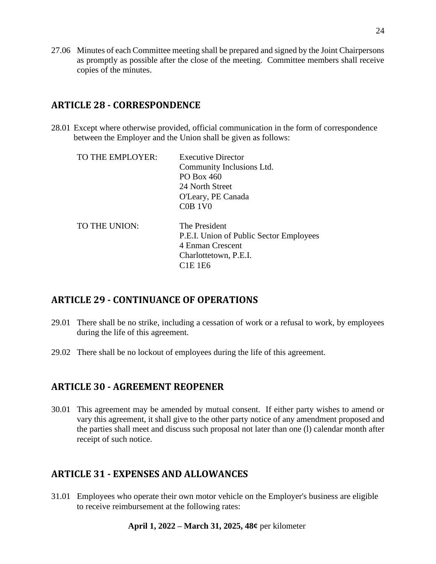27.06 Minutes of each Committee meeting shall be prepared and signed by the Joint Chairpersons as promptly as possible after the close of the meeting. Committee members shall receive copies of the minutes.

# <span id="page-23-0"></span>**ARTICLE 28 - CORRESPONDENCE**

28.01 Except where otherwise provided, official communication in the form of correspondence between the Employer and the Union shall be given as follows:

| TO THE EMPLOYER: | <b>Executive Director</b><br>Community Inclusions Ltd.<br>PO Box 460<br>24 North Street<br>O'Leary, PE Canada<br>$COB$ 1V $0$                         |
|------------------|-------------------------------------------------------------------------------------------------------------------------------------------------------|
| TO THE UNION:    | The President<br>P.E.I. Union of Public Sector Employees<br>4 Enman Crescent<br>Charlottetown, P.E.I.<br>C <sub>1</sub> E <sub>1</sub> E <sub>6</sub> |

# <span id="page-23-1"></span>**ARTICLE 29 - CONTINUANCE OF OPERATIONS**

- 29.01 There shall be no strike, including a cessation of work or a refusal to work, by employees during the life of this agreement.
- 29.02 There shall be no lockout of employees during the life of this agreement.

# <span id="page-23-2"></span>**ARTICLE 30 - AGREEMENT REOPENER**

30.01 This agreement may be amended by mutual consent. If either party wishes to amend or vary this agreement, it shall give to the other party notice of any amendment proposed and the parties shall meet and discuss such proposal not later than one (l) calendar month after receipt of such notice.

# <span id="page-23-3"></span>**ARTICLE 31 - EXPENSES AND ALLOWANCES**

31.01 Employees who operate their own motor vehicle on the Employer's business are eligible to receive reimbursement at the following rates: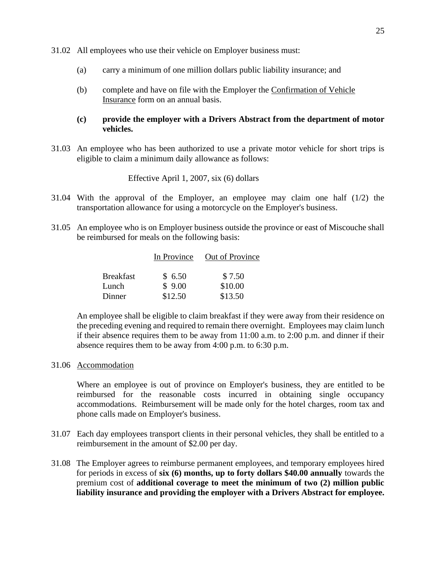31.02 All employees who use their vehicle on Employer business must:

- (a) carry a minimum of one million dollars public liability insurance; and
- (b) complete and have on file with the Employer the Confirmation of Vehicle Insurance form on an annual basis.

#### **(c) provide the employer with a Drivers Abstract from the department of motor vehicles.**

31.03 An employee who has been authorized to use a private motor vehicle for short trips is eligible to claim a minimum daily allowance as follows:

Effective April 1, 2007, six (6) dollars

- 31.04 With the approval of the Employer, an employee may claim one half (1/2) the transportation allowance for using a motorcycle on the Employer's business.
- 31.05 An employee who is on Employer business outside the province or east of Miscouche shall be reimbursed for meals on the following basis:

|                  | In Province | Out of Province |
|------------------|-------------|-----------------|
|                  |             |                 |
| <b>Breakfast</b> | \$6.50      | \$7.50          |
| Lunch            | \$9.00      | \$10.00         |
| Dinner           | \$12.50     | \$13.50         |

An employee shall be eligible to claim breakfast if they were away from their residence on the preceding evening and required to remain there overnight. Employees may claim lunch if their absence requires them to be away from 11:00 a.m. to 2:00 p.m. and dinner if their absence requires them to be away from 4:00 p.m. to 6:30 p.m.

#### 31.06 Accommodation

Where an employee is out of province on Employer's business, they are entitled to be reimbursed for the reasonable costs incurred in obtaining single occupancy accommodations. Reimbursement will be made only for the hotel charges, room tax and phone calls made on Employer's business.

- 31.07 Each day employees transport clients in their personal vehicles, they shall be entitled to a reimbursement in the amount of \$2.00 per day.
- 31.08 The Employer agrees to reimburse permanent employees, and temporary employees hired for periods in excess of **six (6) months, up to forty dollars \$40.00 annually** towards the premium cost of **additional coverage to meet the minimum of two (2) million public liability insurance and providing the employer with a Drivers Abstract for employee.**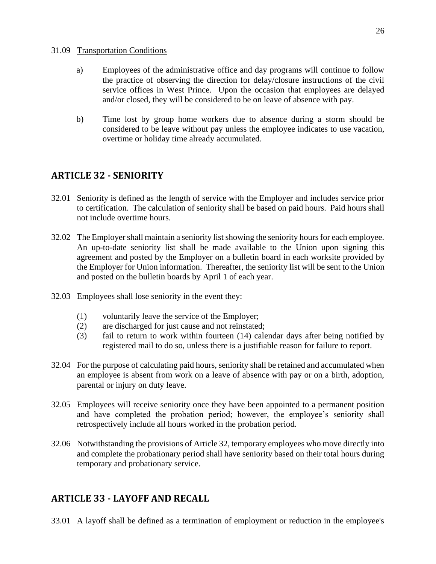#### 31.09 Transportation Conditions

- a) Employees of the administrative office and day programs will continue to follow the practice of observing the direction for delay/closure instructions of the civil service offices in West Prince. Upon the occasion that employees are delayed and/or closed, they will be considered to be on leave of absence with pay.
- b) Time lost by group home workers due to absence during a storm should be considered to be leave without pay unless the employee indicates to use vacation, overtime or holiday time already accumulated.

# <span id="page-25-0"></span>**ARTICLE 32 - SENIORITY**

- 32.01 Seniority is defined as the length of service with the Employer and includes service prior to certification. The calculation of seniority shall be based on paid hours. Paid hours shall not include overtime hours.
- 32.02 The Employer shall maintain a seniority list showing the seniority hours for each employee. An up-to-date seniority list shall be made available to the Union upon signing this agreement and posted by the Employer on a bulletin board in each worksite provided by the Employer for Union information. Thereafter, the seniority list will be sent to the Union and posted on the bulletin boards by April 1 of each year.
- 32.03 Employees shall lose seniority in the event they:
	- (1) voluntarily leave the service of the Employer;
	- (2) are discharged for just cause and not reinstated;
	- (3) fail to return to work within fourteen (14) calendar days after being notified by registered mail to do so, unless there is a justifiable reason for failure to report.
- 32.04 For the purpose of calculating paid hours, seniority shall be retained and accumulated when an employee is absent from work on a leave of absence with pay or on a birth, adoption, parental or injury on duty leave.
- 32.05 Employees will receive seniority once they have been appointed to a permanent position and have completed the probation period; however, the employee's seniority shall retrospectively include all hours worked in the probation period.
- 32.06 Notwithstanding the provisions of Article 32, temporary employees who move directly into and complete the probationary period shall have seniority based on their total hours during temporary and probationary service.

# <span id="page-25-1"></span>**ARTICLE 33 - LAYOFF AND RECALL**

33.01 A layoff shall be defined as a termination of employment or reduction in the employee's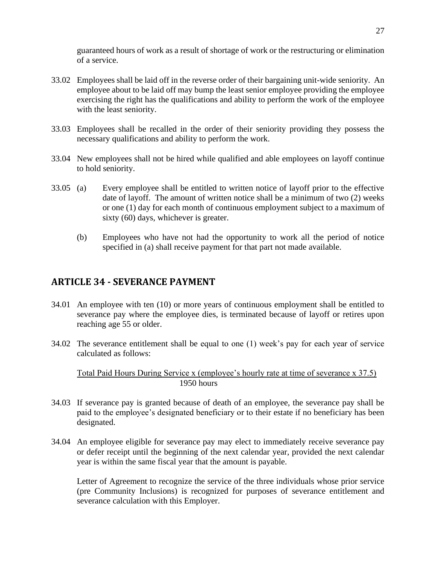guaranteed hours of work as a result of shortage of work or the restructuring or elimination of a service.

- 33.02 Employees shall be laid off in the reverse order of their bargaining unit-wide seniority. An employee about to be laid off may bump the least senior employee providing the employee exercising the right has the qualifications and ability to perform the work of the employee with the least seniority.
- 33.03 Employees shall be recalled in the order of their seniority providing they possess the necessary qualifications and ability to perform the work.
- 33.04 New employees shall not be hired while qualified and able employees on layoff continue to hold seniority.
- 33.05 (a) Every employee shall be entitled to written notice of layoff prior to the effective date of layoff. The amount of written notice shall be a minimum of two (2) weeks or one (1) day for each month of continuous employment subject to a maximum of sixty (60) days, whichever is greater.
	- (b) Employees who have not had the opportunity to work all the period of notice specified in (a) shall receive payment for that part not made available.

# <span id="page-26-0"></span>**ARTICLE 34 - SEVERANCE PAYMENT**

- 34.01 An employee with ten (10) or more years of continuous employment shall be entitled to severance pay where the employee dies, is terminated because of layoff or retires upon reaching age 55 or older.
- 34.02 The severance entitlement shall be equal to one (1) week's pay for each year of service calculated as follows:

Total Paid Hours During Service x (employee's hourly rate at time of severance x 37.5) 1950 hours

- 34.03 If severance pay is granted because of death of an employee, the severance pay shall be paid to the employee's designated beneficiary or to their estate if no beneficiary has been designated.
- 34.04 An employee eligible for severance pay may elect to immediately receive severance pay or defer receipt until the beginning of the next calendar year, provided the next calendar year is within the same fiscal year that the amount is payable.

Letter of Agreement to recognize the service of the three individuals whose prior service (pre Community Inclusions) is recognized for purposes of severance entitlement and severance calculation with this Employer.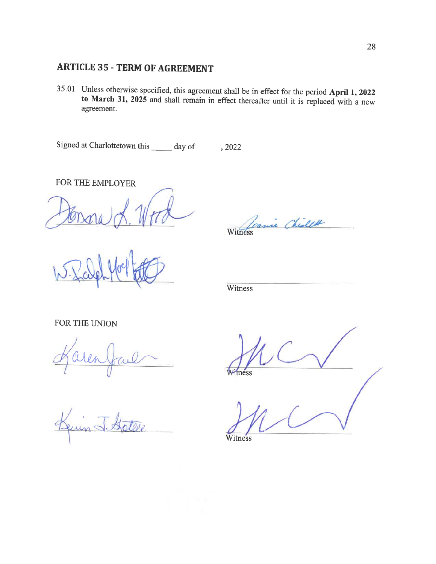# **ARTICLE 35 - TERM OF AGREEMENT**

35.01 Unless otherwise specified, this agreement shall be in effect for the period April 1, 2022 to March 31, 2025 and shall remain in effect thereafter until it is replaced with a new agreement.

Signed at Charlottetown this \_\_\_\_\_ day of , 2022

FOR THE EMPLOYER

Canie Chilett Witness

Witness

FOR THE UNION

tness

Witness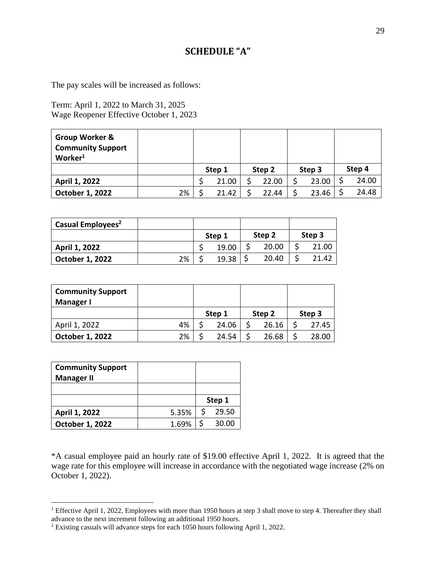# **SCHEDULE "A"**

<span id="page-28-0"></span>The pay scales will be increased as follows:

Term: April 1, 2022 to March 31, 2025 Wage Reopener Effective October 1, 2023

| Group Worker &<br><b>Community Support</b><br>Worker <sup>1</sup> |    |        |        |        |        |
|-------------------------------------------------------------------|----|--------|--------|--------|--------|
|                                                                   |    | Step 1 | Step 2 | Step 3 | Step 4 |
| April 1, 2022                                                     |    | 21.00  | 22.00  | 23.00  | 24.00  |
| October 1, 2022                                                   | 2% | 21.42  | 22.44  | 23.46  | 24.48  |

| Casual Employees <sup>2</sup> |    |        |        |        |
|-------------------------------|----|--------|--------|--------|
|                               |    | Step 1 | Step 2 | Step 3 |
| April 1, 2022                 |    | 19.00  | 20.00  | 21.00  |
| <b>October 1, 2022</b>        | 2% | 19.38  | 20.40  | 21.42  |

| <b>Community Support</b><br><b>Manager I</b> |    |        |        |        |
|----------------------------------------------|----|--------|--------|--------|
|                                              |    | Step 1 | Step 2 | Step 3 |
| April 1, 2022                                | 4% | 24.06  | 26.16  | 27.45  |
| October 1, 2022                              | 2% | 24.54  | 26.68  | 28.00  |

| <b>Community Support</b><br><b>Manager II</b> |       |        |
|-----------------------------------------------|-------|--------|
|                                               |       |        |
|                                               |       | Step 1 |
| April 1, 2022                                 | 5.35% | 29.50  |
| October 1, 2022                               | 1.69% | 30.00  |

\*A casual employee paid an hourly rate of \$19.00 effective April 1, 2022. It is agreed that the wage rate for this employee will increase in accordance with the negotiated wage increase (2% on October 1, 2022).

<sup>&</sup>lt;sup>1</sup> Effective April 1, 2022, Employees with more than 1950 hours at step 3 shall move to step 4. Thereafter they shall advance to the next increment following an additional 1950 hours.

<sup>2</sup> Existing casuals will advance steps for each 1050 hours following April 1, 2022.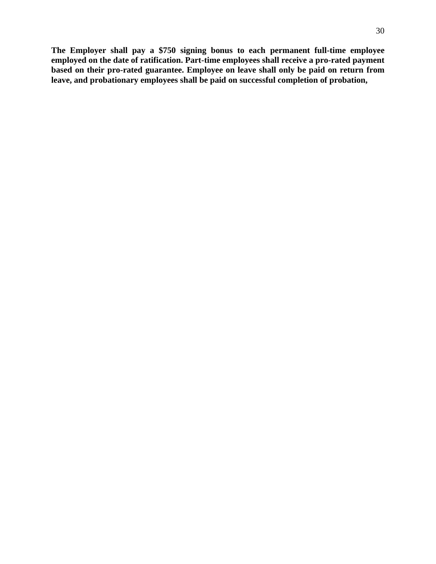**The Employer shall pay a \$750 signing bonus to each permanent full-time employee employed on the date of ratification. Part-time employees shall receive a pro-rated payment based on their pro-rated guarantee. Employee on leave shall only be paid on return from leave, and probationary employees shall be paid on successful completion of probation,**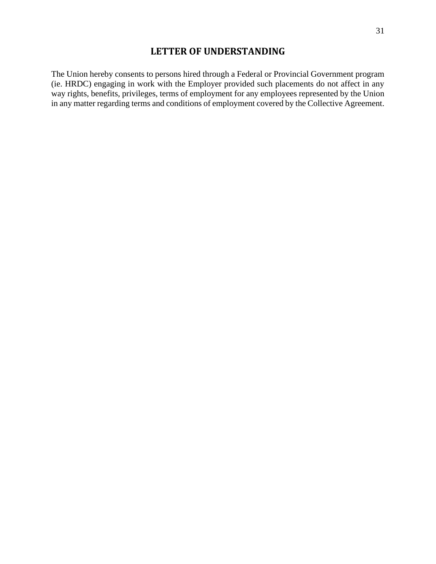<span id="page-30-0"></span>The Union hereby consents to persons hired through a Federal or Provincial Government program (ie. HRDC) engaging in work with the Employer provided such placements do not affect in any way rights, benefits, privileges, terms of employment for any employees represented by the Union in any matter regarding terms and conditions of employment covered by the Collective Agreement.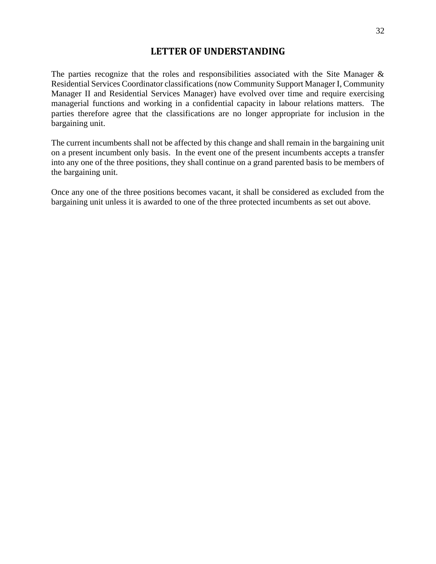<span id="page-31-0"></span>The parties recognize that the roles and responsibilities associated with the Site Manager & Residential Services Coordinator classifications (now Community Support Manager I, Community Manager II and Residential Services Manager) have evolved over time and require exercising managerial functions and working in a confidential capacity in labour relations matters. The parties therefore agree that the classifications are no longer appropriate for inclusion in the bargaining unit.

The current incumbents shall not be affected by this change and shall remain in the bargaining unit on a present incumbent only basis. In the event one of the present incumbents accepts a transfer into any one of the three positions, they shall continue on a grand parented basis to be members of the bargaining unit.

Once any one of the three positions becomes vacant, it shall be considered as excluded from the bargaining unit unless it is awarded to one of the three protected incumbents as set out above.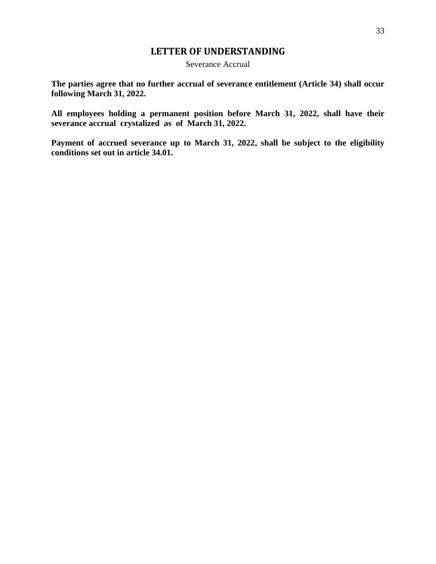Severance Accrual

<span id="page-32-0"></span>**The parties agree that no further accrual of severance entitlement (Article 34) shall occur following March 31, 2022.**

**All employees holding a permanent position before March 31, 2022, shall have their severance accrual crystalized as of March 31, 2022.** 

**Payment of accrued severance up to March 31, 2022, shall be subject to the eligibility conditions set out in article 34.01.**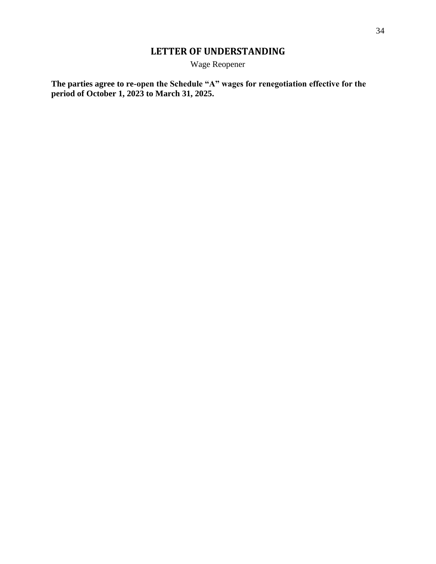Wage Reopener

<span id="page-33-0"></span>**The parties agree to re-open the Schedule "A" wages for renegotiation effective for the period of October 1, 2023 to March 31, 2025.**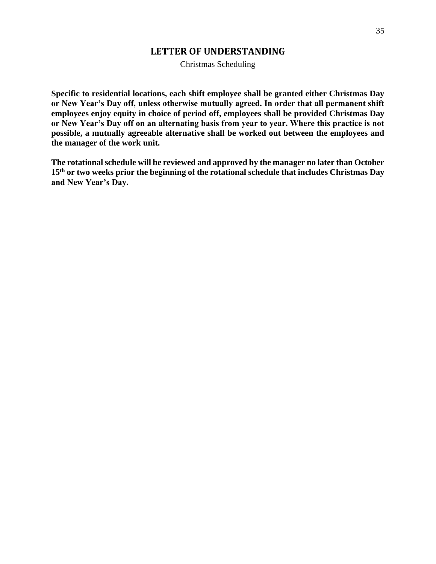Christmas Scheduling

<span id="page-34-0"></span>**Specific to residential locations, each shift employee shall be granted either Christmas Day or New Year's Day off, unless otherwise mutually agreed. In order that all permanent shift employees enjoy equity in choice of period off, employees shall be provided Christmas Day or New Year's Day off on an alternating basis from year to year. Where this practice is not possible, a mutually agreeable alternative shall be worked out between the employees and the manager of the work unit.** 

**The rotational schedule will be reviewed and approved by the manager no later than October 15th or two weeks prior the beginning of the rotational schedule that includes Christmas Day and New Year's Day.**